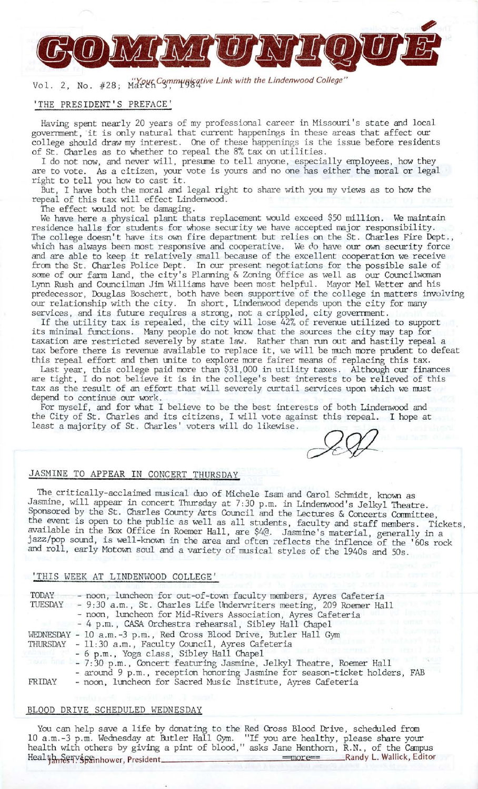

# *Wol.* 2, No. #28;  $\frac{W\text{V}}{M}$   $\frac{W\text{V}}{M}$   $\frac{W\text{V}}{M}$   $\frac{W\text{V}}{M}$  is  $\frac{W\text{V}}{M}$  ink with the Lindenwood College"

## 'THE PRESIDENT'S PREFACE'

Having spent nearly 20 years of my professional career in Missouri's state and local government, it is only natural that current happenings in these areas that affect our college should draw my interest. One of these happenings is the issue before residents of St. Charles as to whether to repeal the 8% tax on utilities.

I do not now, and never will, presume to tell anyone, especially employees, how they are to vote. As a citizen, your vote is yours and no one has either the moral or legal right to tell you how to cast it.

But, I have both the moral and legal right to share with you my views as to how the repeal of this tax will effect Lindenwood.

The effect would not be damaging.

We have here a physical plant thats replacement would exceed \$50 million. We maintain residence halls for students for whose security we have accepted major responsibility. The college doesn't have its own fire department but relies on the St. Charles Fire Dept., which has always been most responsive and cooperative. We do have our own security force and are able to keep it relatively small because of the excellent cooperation we receive from the St. Charles Police Dept. In our present negotiations for the possible sale of some of our farm land, the city's Planning & Zoning Office as well as our Councilwoman Lynn Rush and Councilman Jim Williams have been most helpful. Mayor Mel Wetter and his predecessor, Douglas Boschert, both have been supportive of the college in matters involving our relationship with the city. In short, Lindenwood depends upon the city for many services, and its future requires a strong, not a crippled, city government.

If the utility tax is repealed, the city will lose 42% of revenue utilized to support its minimal functions. Many people do not know that the sources the city may tap for taxation are restricted severely by state law. Rather than run out and hastily repeal a tax before there is revenue available to replace it, we will be much more prudent to defeat this repeal effort and then unite to explore more fairer means of replacing this tax.

Last year, this college paid more than \$31,000 in utility taxes. Although our finances are tight, I do not believe it is in the college's best interests to be relieved of this tax as the result of an effort that will severely curtail services upon which we must depend to continue our work.

For myself, and for what I believe to be the best interests of both Lindenwood and the City of St. Charles and its citizens, I will vote against this repeal. I hope at least a majority of St. Charles' voters will do likewise. **~J:/2--**

## JASMINE TO APPEAR IN CONCERT THURSDAY

The critically-acclaimed musical duo of Michele Isam and Carol Schmidt, known as Jasmine, will appear in concert Thursday at 7:30 p.m. in Lindenwood's Jeikyl Theatre. Sponsored by the St. Charles County Arts Council and the Lectures & Concerts Committee the event is open to the public as well as all students, faculty and staff members. Tickets, available in the Box Office in Roemer Hall, are \$4@. Jasmine's material, generally in a jazz/pop sound, is well-known in the area and often reflects the inflence of the '60s rock and roll, early Motown soul and a variety of musical styles of the 1940s and 50s.

#### 'THIS WEEK AT LINDENWOOD COLLEGE'

| TODAY  | - noon, luncheon for out-of-town faculty members, Ayres Cafeteria           |
|--------|-----------------------------------------------------------------------------|
|        | TUESDAY - 9:30 a.m., St. Charles Life Underwriters meeting, 209 Roemer Hall |
|        | - noon, luncheon for Mid-Rivers Association, Ayres Cafeteria                |
|        | - 4 p.m., CASA Orchestra rehearsal, Sibley Hall Chapel                      |
|        | WEDNESDAY - 10 a.m.-3 p.m., Red Cross Blood Drive, Butler Hall Gym          |
|        | THURSDAY - 11:30 a.m., Faculty Council, Ayres Cafeteria                     |
|        | - 6 p.m., Yoga class, Sibley Hall Chapel                                    |
|        | - 7:30 p.m., Concert featuring Jasmine, Jelkyl Theatre, Roemer Hall         |
|        | - around 9 p.m., reception honoring Jasmine for season-ticket holders, FAB  |
| FRIDAY | - noon, luncheon for Sacred Music Institute, Ayres Cafeteria                |

#### BLOOD DRIVE SCHEDULED WEDNESDAY

You can help save a life by donating to the Red Cross Blood Drive, scheduled from 10 a.m.-3 p.m. Wednesday at Butler Hall Gym. "If you are healthy, please share your health with others by giving a pint of blood," asks Jane Henthorn, R.N., of the Campus Health<sub>am</sub><br>==more== Randy L. Wallick, Editor